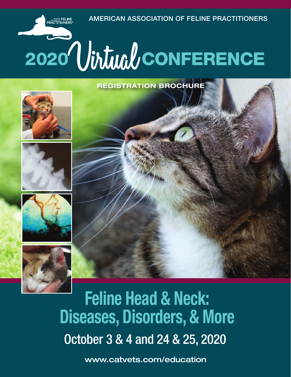**AMERICAN ASSOCIATION OF FELINE PRACTITIONERS**

# 2020<sup>1</sup>Virtual/CONFERENCE

**REGISTRATION BROCHURE**



American FEL**INI**<br>'RACTITIONER**!** 







October 3 & 4 and 24 & 25, 2020 **Feline Head & Neck: Diseases, Disorders, & More**

**www.catvets.com/education**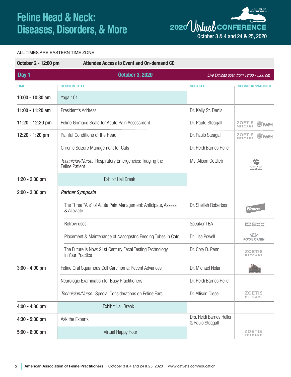

#### ALL TIMES ARE EASTERN TIME ZONE

| October 2 - 12:00 pm<br><b>Attendee Access to Event and On-demand CE</b> |                                                                                  |                                              |                                         |
|--------------------------------------------------------------------------|----------------------------------------------------------------------------------|----------------------------------------------|-----------------------------------------|
| Day 1                                                                    | <b>October 3, 2020</b>                                                           |                                              | Live Exhibits open from 12:00 - 5:00 pm |
| <b>TIME</b>                                                              | <b>SESSION TITLE</b>                                                             | <b>SPEAKER</b>                               | <b>SPONSOR/PARTNER</b>                  |
| 10:00 - 10:30 am                                                         | Yoga 101                                                                         |                                              |                                         |
| 11:00 - 11:20 am                                                         | President's Address                                                              | Dr. Kelly St. Denis                          |                                         |
| 11:20 - 12:20 pm                                                         | Feline Grimace Scale for Acute Pain Assessment                                   | Dr. Paulo Steagall                           | ZOETIS<br>PETCARE                       |
| 12:20 - 1:20 pm                                                          | Painful Conditions of the Head                                                   | Dr. Paulo Steagall                           | <b>ZOETIS</b><br>PETCARE                |
|                                                                          | Chronic Seizure Management for Cats                                              | Dr. Heidi Barnes Heller                      |                                         |
|                                                                          | Technician/Nurse: Respiratory Emergencies: Triaging the<br><b>Feline Patient</b> | Ms. Alison Gottlieb                          | 箭<br>NAVTA                              |
| $1:20 - 2:00$ pm                                                         | <b>Exhibit Hall Break</b>                                                        |                                              |                                         |
| $2:00 - 3:00$ pm                                                         | <b>Partner Symposia</b>                                                          |                                              |                                         |
|                                                                          | The Three "A's" of Acute Pain Management: Anticipate, Assess,<br>& Alleviate     | Dr. Sheilah Robertson                        | $I(\eta/\alpha)$                        |
|                                                                          | Retroviruses                                                                     | Speaker TBA                                  |                                         |
|                                                                          | Placement & Maintenance of Nasogastric Feeding Tubes in Cats                     | Dr. Lisa Powell                              | <b>ROYAL CANIN</b>                      |
|                                                                          | The Future is Now: 21st Century Fecal Testing Technology<br>in Your Practice     | Dr. Cory D. Penn                             | <b>ZOETIS</b><br><b>PETCARE</b>         |
| $3:00 - 4:00$ pm                                                         | Feline Oral Squamous Cell Carcinoma: Recent Advances                             | Dr. Michael Nolan                            |                                         |
|                                                                          | Neurologic Examination for Busy Practitioners                                    | Dr. Heidi Barnes Heller                      |                                         |
|                                                                          | Technician/Nurse: Special Considerations on Feline Ears                          | Dr. Allison Diesel                           | <b>ZOETIS</b><br><b>PETCARE</b>         |
| $4:00 - 4:30$ pm                                                         | <b>Exhibit Hall Break</b>                                                        |                                              |                                         |
| $4:30 - 5:00$ pm                                                         | Ask the Experts                                                                  | Drs. Heidi Barnes Heller<br>& Paulo Steagall |                                         |
| $5:00 - 6:00$ pm                                                         | Virtual Happy Hour                                                               |                                              | <b>ZOETIS</b><br>PETCARE                |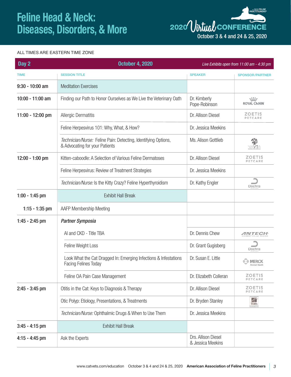**ACTITIONERS <sup>2020</sup>**Virtual **CONFERENCE** October 3 & 4 and 24 & 25, 2020

#### ALL TIMES ARE EASTERN TIME ZONE

| Day 2             | <b>October 4, 2020</b>                                                                           |                                          | Live Exhibits open from 11:00 am - 4:30 pm |
|-------------------|--------------------------------------------------------------------------------------------------|------------------------------------------|--------------------------------------------|
| <b>TIME</b>       | <b>SESSION TITLE</b>                                                                             | <b>SPEAKER</b>                           | <b>SPONSOR/PARTNER</b>                     |
| $9:30 - 10:00$ am | <b>Meditation Exercises</b>                                                                      |                                          |                                            |
| 10:00 - 11:00 am  | Finding our Path to Honor Ourselves as We Live the Veterinary Oath                               | Dr. Kimberly<br>Pope-Robinson            | <b>ROYAL CANIN</b>                         |
| 11:00 - 12:00 pm  | <b>Allergic Dermatitis</b>                                                                       | Dr. Allison Diesel                       | ZOETIS<br>PETCARE                          |
|                   | Feline Herpesvirus 101: Why, What, & How?                                                        | Dr. Jessica Meekins                      |                                            |
|                   | Technician/Nurse: Feline Pain: Detecting, Identifying Options,<br>& Advocating for your Patients | Ms. Alison Gottlieb                      | 爷<br>NAVTA                                 |
| 12:00 - 1:00 pm   | Kitten-caboodle: A Selection of Various Feline Dermatoses                                        | Dr. Allison Diesel                       | <b>ZOETIS</b><br>PETCARE                   |
|                   | Feline Herpesvirus: Review of Treatment Strategies                                               | Dr. Jessica Meekins                      |                                            |
|                   | Technician/Nurse: Is the Kitty Crazy? Feline Hyperthyroidism                                     | Dr. Kathy Engler                         | Dechra                                     |
| $1:00 - 1:45$ pm  | <b>Exhibit Hall Break</b>                                                                        |                                          |                                            |
| $1:15 - 1:35$ pm  | <b>AAFP Membership Meeting</b>                                                                   |                                          |                                            |
| $1:45 - 2:45$ pm  | <b>Partner Symposia</b>                                                                          |                                          |                                            |
|                   | AI and CKD - Title TBA                                                                           | Dr. Dennis Chew                          | <b>MNTECH</b>                              |
|                   | Feline Weight Loss                                                                               | Dr. Grant Gugisberg                      | Dechra                                     |
|                   | Look What the Cat Dragged In: Emerging Infections & Infestations<br><b>Facing Felines Today</b>  | Dr. Susan E. Little                      | <b>MERCK</b>                               |
|                   | Feline OA Pain Case Management                                                                   | Dr. Elizabeth Colleran                   | <b>ZOETIS</b><br>PETCARE                   |
| $2:45 - 3:45$ pm  | Otitis in the Cat: Keys to Diagnosis & Therapy                                                   | Dr. Allison Diesel                       | <b>ZOETIS</b><br>PETCARE                   |
|                   | Otic Polyp: Etiology, Presentations, & Treatments                                                | Dr. Bryden Stanley                       | K<br><b>Hill's</b>                         |
|                   | Technician/Nurse: Ophthalmic Drugs & When to Use Them                                            | Dr. Jessica Meekins                      |                                            |
| $3:45 - 4:15$ pm  | <b>Exhibit Hall Break</b>                                                                        |                                          |                                            |
| $4:15 - 4:45$ pm  | Ask the Experts                                                                                  | Drs. Allison Diesel<br>& Jessica Meekins |                                            |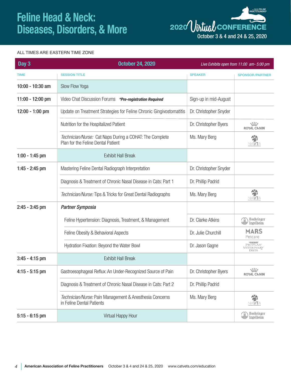

#### ALL TIMES ARE EASTERN TIME ZONE

| <b>October 24, 2020</b>                                                                       |                        | Live Exhibits open from 11:00 am- 5:00 pm                           |
|-----------------------------------------------------------------------------------------------|------------------------|---------------------------------------------------------------------|
| <b>SESSION TITLE</b>                                                                          | <b>SPEAKER</b>         | <b>SPONSOR/PARTNER</b>                                              |
| Slow Flow Yoga                                                                                |                        |                                                                     |
| Video Chat Discussion Forums *Pre-registration Required                                       | Sign-up in mid-August  |                                                                     |
| Update on Treatment Strategies for Feline Chronic Gingivostomatitis                           | Dr. Christopher Snyder |                                                                     |
| Nutrition for the Hospitalized Patient                                                        | Dr. Christopher Byers  | 寒<br><b>ROYAL CANIN</b>                                             |
| Technician/Nurse: Cat Naps During a COHAT: The Complete<br>Plan for the Feline Dental Patient | Ms. Mary Berg          | 箭<br>NAVTA                                                          |
| <b>Exhibit Hall Break</b>                                                                     |                        |                                                                     |
| Mastering Feline Dental Radiograph Interpretation                                             | Dr. Christopher Snyder |                                                                     |
| Diagnosis & Treatment of Chronic Nasal Disease in Cats: Part 1                                | Dr. Phillip Padrid     |                                                                     |
| Technician/Nurse: Tips & Tricks for Great Dental Radiographs                                  | Ms. Mary Berg          | 箭<br>NAVTA                                                          |
| <b>Partner Symposia</b>                                                                       |                        |                                                                     |
| Feline Hypertension: Diagnosis, Treatment, & Management                                       | Dr. Clarke Atkins      | $\text{WDP} \xrightarrow{\text{Boehringer}}$                        |
| Feline Obesity & Behavioral Aspects                                                           | Dr. Julie Churchill    | <b>MARS</b><br>Petcare                                              |
| Hydration Fixation: Beyond the Water Bowl                                                     | Dr. Jason Gagne        | <b>STRUKINA</b><br>PROPLAN'<br>VETERINARY<br>DIETS                  |
| <b>Exhibit Hall Break</b>                                                                     |                        |                                                                     |
| Gastroesophageal Reflux: An Under-Recognized Source of Pain                                   | Dr. Christopher Byers  | $\frac{1}{2}$ , $\frac{1}{2}$ , $\frac{1}{2}$<br><b>ROYAL CANIN</b> |
| Diagnosis & Treatment of Chronic Nasal Disease in Cats: Part 2                                | Dr. Phillip Padrid     |                                                                     |
| Technician/Nurse: Pain Management & Anesthesia Concerns<br>in Feline Dental Patients          | Ms. Mary Berg          | 箭<br>NAVTA                                                          |
| Virtual Happy Hour                                                                            |                        | Boehringer<br>$\left(\frac{1}{\ v\ }\right)$ Ingelheim              |
|                                                                                               |                        |                                                                     |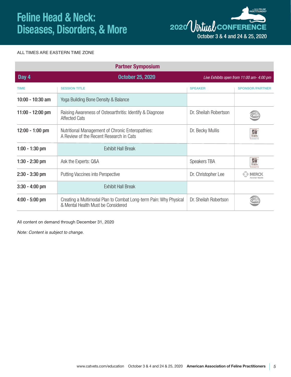

#### ALL TIMES ARE EASTERN TIME ZONE

|                    | <b>Partner Symposium</b>                                                                                |                       |                                           |
|--------------------|---------------------------------------------------------------------------------------------------------|-----------------------|-------------------------------------------|
| Day 4              | <b>October 25, 2020</b>                                                                                 |                       | Live Exhibits open from 11:00 am- 4:00 pm |
| <b>TIME</b>        | <b>SESSION TITLE</b>                                                                                    | <b>SPEAKER</b>        | <b>SPONSOR/PARTNER</b>                    |
| 10:00 - 10:30 am   | Yoga Building Bone Density & Balance                                                                    |                       |                                           |
| $11:00 - 12:00$ pm | Raising Awareness of Osteoarthritis: Identify & Diagnose<br><b>Affected Cats</b>                        | Dr. Sheilah Robertson |                                           |
| $12:00 - 1:00$ pm  | Nutritional Management of Chronic Enteropathies:<br>A Review of the Recent Research in Cats             | Dr. Becky Mullis      | Hills                                     |
| $1:00 - 1:30$ pm   | <b>Exhibit Hall Break</b>                                                                               |                       |                                           |
| $1:30 - 2:30$ pm   | Ask the Experts: Q&A                                                                                    | Speakers TBA          | h<br><b>Hill's</b>                        |
| $2:30 - 3:30$ pm   | <b>Putting Vaccines into Perspective</b>                                                                | Dr. Christopher Lee   | <b>MFRCK</b>                              |
| $3:30 - 4:00$ pm   | <b>Exhibit Hall Break</b>                                                                               |                       |                                           |
| $4:00 - 5:00$ pm   | Creating a Multimodal Plan to Combat Long-term Pain: Why Physical<br>& Mental Health Must be Considered | Dr. Sheilah Robertson |                                           |

All content on demand through December 31, 2020

*Note: Content is subject to change.*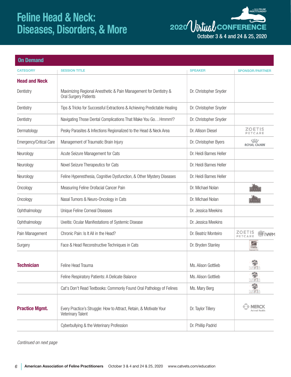

| <b>On Demand</b>        |                                                                                                  |                         |                             |
|-------------------------|--------------------------------------------------------------------------------------------------|-------------------------|-----------------------------|
| <b>CATEGORY</b>         | <b>SESSION TITLE</b>                                                                             | <b>SPEAKER</b>          | <b>SPONSOR/PARTNER</b>      |
| <b>Head and Neck</b>    |                                                                                                  |                         |                             |
| Dentistry               | Maximizing Regional Anesthetic & Pain Management for Dentistry &<br><b>Oral Surgery Patients</b> | Dr. Christopher Snyder  |                             |
| Dentistry               | Tips & Tricks for Successful Extractions & Achieving Predictable Healing                         | Dr. Christopher Snyder  |                             |
| Dentistry               | Navigating Those Dental Complications That Make You Go Hmmm!?                                    | Dr. Christopher Snyder  |                             |
| Dermatology             | Pesky Parasites & Infections Regionalized to the Head & Neck Area                                | Dr. Allison Diesel      | <b>ZOETIS</b><br>PETCARE    |
| Emergency/Critical Care | Management of Traumatic Brain Injury                                                             | Dr. Christopher Byers   | 寒<br><b>ROYAL CANIN</b>     |
| Neurology               | Acute Seizure Management for Cats                                                                | Dr. Heidi Barnes Heller |                             |
| Neurology               | Novel Seizure Therapeutics for Cats                                                              | Dr. Heidi Barnes Heller |                             |
| Neurology               | Feline Hyperesthesia, Cognitive Dysfunction, & Other Mystery Diseases                            | Dr. Heidi Barnes Heller |                             |
| Oncology                | Measuring Feline Orofacial Cancer Pain                                                           | Dr. Michael Nolan       |                             |
| Oncology                | Nasal Tumors & Neuro-Oncology in Cats                                                            | Dr. Michael Nolan       |                             |
| Ophthalmology           | Unique Feline Corneal Diseases                                                                   | Dr. Jessica Meekins     |                             |
| Ophthalmology           | Uveitis: Ocular Manifestations of Systemic Disease                                               | Dr. Jessica Meekins     |                             |
| Pain Management         | Chronic Pain: Is It All in the Head?                                                             | Dr. Beatriz Monteiro    | <b>ZOETIS</b><br>PETCARE    |
| Surgery                 | Face & Head Reconstructive Techniques in Cats                                                    | Dr. Bryden Stanley      | K<br><b>Hills</b>           |
|                         |                                                                                                  |                         |                             |
| <b>Technician</b>       | Feline Head Trauma                                                                               | Ms. Alison Gottlieb     | VAVT                        |
|                         | Feline Respiratory Patients: A Delicate Balance                                                  | Ms. Alison Gottlieb     | $\frac{1}{2}$<br>VAVT       |
|                         | Cat's Don't Read Textbooks: Commonly Found Oral Pathology of Felines                             | Ms. Mary Berg           | ¥<br>NAVTA                  |
| <b>Practice Mgmt.</b>   | Every Practice's Struggle: How to Attract, Retain, & Motivate Your<br>Veterinary Talent          | Dr. Taylor Tillery      | <b>MERCK</b><br>Animal Heal |
|                         | Cyberbullying & the Veterinary Profession                                                        | Dr. Phillip Padrid      |                             |

*Continued on next page*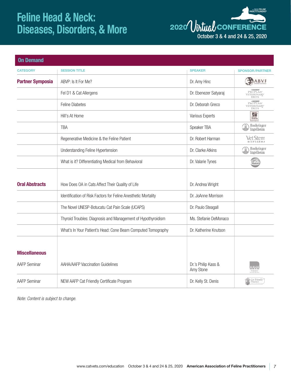**ACTITIONERS <sup>2020</sup>**Virtual **CONFERENCE** October 3 & 4 and 24 & 25, 2020

| <b>On Demand</b>        |                                                                |                                  |                                                           |
|-------------------------|----------------------------------------------------------------|----------------------------------|-----------------------------------------------------------|
| <b>CATEGORY</b>         | <b>SESSION TITLE</b>                                           | <b>SPEAKER</b>                   | <b>SPONSOR/PARTNER</b>                                    |
| <b>Partner Symposia</b> | ABVP: Is It For Me?                                            | Dr. Amy Hinc                     | <b>ABVP</b>                                               |
|                         | Fel D1 & Cat Allergens                                         | Dr. Ebenezer Satyaraj            | <b>EXECUTES</b><br>PROPLAN'<br>VETERINARY<br><b>DIETS</b> |
|                         | <b>Feline Diabetes</b>                                         | Dr. Deborah Greco                | PROPLANT<br>VETERINARY<br>DIETS                           |
|                         | Hill's At Home                                                 | Various Experts                  | K<br><b>Hills</b>                                         |
|                         | <b>TBA</b>                                                     | Speaker TBA                      | Boehringer<br>$\left(\frac{1}{\ v\ }\right)$ ingelheim    |
|                         | Regenerative Medicine & the Feline Patient                     | Dr. Robert Harman                | <b>VetStem</b>                                            |
|                         | <b>Understanding Feline Hypertension</b>                       | Dr. Clarke Atkins                | $\bigcirc$ Boehringer<br>Ingelheim                        |
|                         | What is it? Differentiating Medical from Behavioral            | Dr. Valarie Tynes                |                                                           |
| <b>Oral Abstracts</b>   | How Does OA in Cats Affect Their Quality of Life               | Dr. Andrea Wright                |                                                           |
|                         | Identification of Risk Factors for Feline Anesthetic Mortality | Dr. JoAnne Morrison              |                                                           |
|                         | The Novel UNESP-Botucatu Cat Pain Scale (UCAPS)                | Dr. Paulo Steagall               |                                                           |
|                         | Thyroid Troubles: Diagnosis and Management of Hypothyroidism   | Ms. Stefanie DeMonaco            |                                                           |
|                         | What's In Your Patient's Head: Cone Beam Computed Tomography   | Dr. Katherine Knutson            |                                                           |
| <b>Miscellaneous</b>    |                                                                |                                  |                                                           |
| <b>AAFP Seminar</b>     | <b>AAHA/AAFP Vaccination Guidelines</b>                        | Dr.'s Philip Kass &<br>Amy Stone | The Standard of                                           |
| <b>AAFP Seminar</b>     | NEW AAFP Cat Friendly Certificate Program                      | Dr. Kelly St. Denis              | Cat Friendly<br>Practice                                  |

*Note: Content is subject to change.*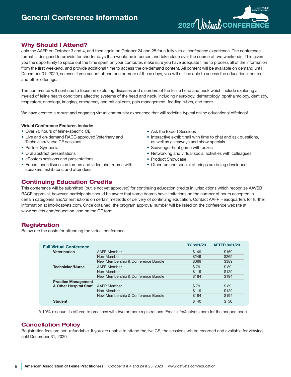

## **Why Should I Attend?**

Join the AAFP on October 3 and 4, and then again on October 24 and 25 for a fully virtual conference experience. The conference format is designed to provide for shorter days than would be in person and take place over the course of two weekends. This gives you the opportunity to space out the time spent on your computer, make sure you have adequate time to process all of the information from the first weekend, and provide additional time to access the on-demand content. All content will be available on demand until December 31, 2020, so even if you cannot attend one or more of these days, you will still be able to access the educational content and other offerings.

The conference will continue to focus on exploring diseases and disorders of the feline head and neck which include exploring a myriad of feline health conditions affecting systems of the head and neck, including neurology, dermatology, ophthalmology, dentistry, respiratory, oncology, imaging, emergency and critical care, pain management, feeding tubes, and more.

We have created a robust and engaging virtual community experience that will redefine typical online educational offerings!

#### **Virtual Conference Features Include:**

- Over 70 hours of feline-specific CE!
- Live and on-demand RACE-approved Veterinary and Technician/Nurse CE sessions
- Partner Symposia
- Oral abstract presentations
- ePosters sessions and presentations
- Educational discussion forums and video chat rooms with speakers, exhibitors, and attendees
- Ask the Expert Sessions
- Interactive exhibit hall with time to chat and ask questions, as well as giveaways and show specials
- Scavenger hunt game with prizes
- Networking and virtual social activities with colleagues
- Product Showcase
- Other fun and special offerings are being developed

## **Continuing Education Credits**

This conference will be submitted (but is not yet approved) for continuing education credits in jurisdictions which recognize AAVSB RACE approval; however, participants should be aware that some boards have limitations on the number of hours accepted in certain categories and/or restrictions on certain methods of delivery of continuing education. Contact AAFP Headquarters for further information at info@catvets.com. Once obtained, the program approval number will be listed on the conference website at www.catvets.com/education and on the CE form.

## **Registration**

Below are the costs for attending the virtual conference.

| <b>Full Virtual Conference</b> |                                    | BY 8/31/20 | <b>AFTER 8/31/20</b> |
|--------------------------------|------------------------------------|------------|----------------------|
| Veterinarian                   | AAFP Member                        | \$149      | \$169                |
|                                | Non-Member                         | \$249      | \$269                |
|                                | New Membership & Conference Bundle | \$369      | \$389                |
| <b>Technician/Nurse</b>        | AAFP Member                        | \$79       | \$89                 |
|                                | Non-Member                         | \$119      | \$129                |
|                                | New Membership & Conference Bundle | \$184      | \$194                |
| <b>Practice Management</b>     |                                    |            |                      |
| & Other Hospital Staff         | <b>AAFP Member</b>                 | \$79       | \$89                 |
|                                | Non-Member                         | \$119      | \$129                |
|                                | New Membership & Conference Bundle | \$184      | \$194                |
| <b>Student</b>                 |                                    | \$40       | \$50                 |

A 10% discount is offered to practices with two or more registrations. Email info@catvets.com for the coupon code.

## **Cancellation Policy**

Registration fees are non-refundable. If you are unable to attend the live CE, the sessions will be recorded and available for viewing until December 31, 2020.